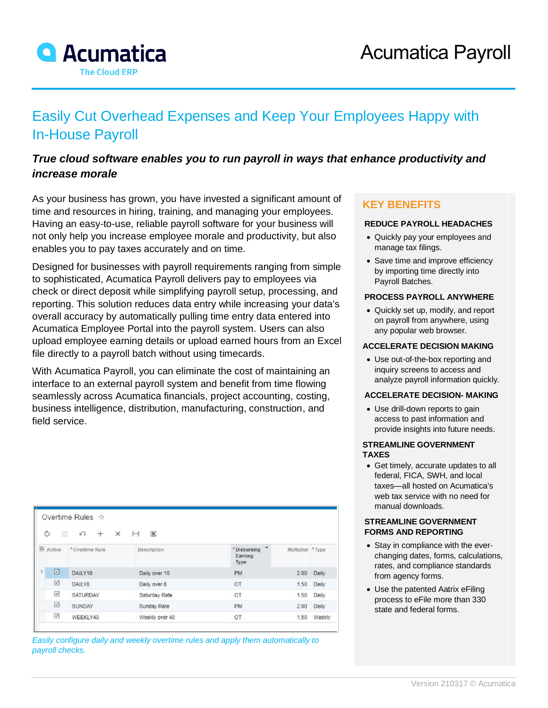

# Easily Cut Overhead Expenses and Keep Your Employees Happy with In-House Payroll

# *True cloud software enables you to run payroll in ways that enhance productivity and increase morale*

As your business has grown, you have invested a significant amount of time and resources in hiring, training, and managing your employees. Having an easy-to-use, reliable payroll software for your business will not only help you increase employee morale and productivity, but also enables you to pay taxes accurately and on time.

Designed for businesses with payroll requirements ranging from simple to sophisticated, Acumatica Payroll delivers pay to employees via check or direct deposit while simplifying payroll setup, processing, and reporting. This solution reduces data entry while increasing your data's overall accuracy by automatically pulling time entry data entered into Acumatica Employee Portal into the payroll system. Users can also upload employee earning details or upload earned hours from an Excel file directly to a payroll batch without using timecards.

With Acumatica Payroll, you can eliminate the cost of maintaining an interface to an external payroll system and benefit from time flowing seamlessly across Acumatica financials, project accounting, costing, business intelligence, distribution, manufacturing, construction, and field service.

| Ò             | 當               | Overtime Rules ☆<br>$\Omega$<br>×<br>$+$ | $\mathbf{x}$<br>$\left  \bullet \bullet \right $ |                                 |                  |        |
|---------------|-----------------|------------------------------------------|--------------------------------------------------|---------------------------------|------------------|--------|
|               | <b>图 Active</b> | *Overtime Rule                           | Description                                      | * Disbursing<br>Earning<br>Type | Multiplier *Type |        |
| $\rightarrow$ | ☑               | DAILY10                                  | Daily over 10                                    | <b>PM</b>                       | 2.00             | Daily  |
|               | ☑               | DAILY8                                   | Daily over 8                                     | OT                              | 1.50             | Daily  |
|               | ☑               | SATURDAY                                 | Saturday Rate                                    | OT                              | 1.50             | Daily  |
|               | ☑               | <b>SUNDAY</b>                            | Sunday Rate                                      | PM                              | 2.00             | Daily  |
|               | ☑               | WEEKLY40                                 | Weekly over 40                                   | OT                              | 1.50             | Weekly |

*Easily configure daily and weekly overtime rules and apply them automatically to payroll checks.*

## **KEY BENEFITS**

#### **REDUCE PAYROLL HEADACHES**

- Quickly pay your employees and manage tax filings.
- Save time and improve efficiency by importing time directly into Payroll Batches.

#### **PROCESS PAYROLL ANYWHERE**

• Quickly set up, modify, and report on payroll from anywhere, using any popular web browser.

#### **ACCELERATE DECISION MAKING**

• Use out-of-the-box reporting and inquiry screens to access and analyze payroll information quickly.

#### **ACCELERATE DECISION- MAKING**

• Use drill-down reports to gain access to past information and provide insights into future needs.

#### **STREAMLINE GOVERNMENT TAXES**

• Get timely, accurate updates to all federal, FICA, SWH, and local taxes—all hosted on Acumatica's web tax service with no need for manual downloads.

#### **STREAMLINE GOVERNMENT FORMS AND REPORTING**

- Stay in compliance with the everchanging dates, forms, calculations, rates, and compliance standards from agency forms.
- Use the patented Aatrix eFiling process to eFile more than 330 state and federal forms.